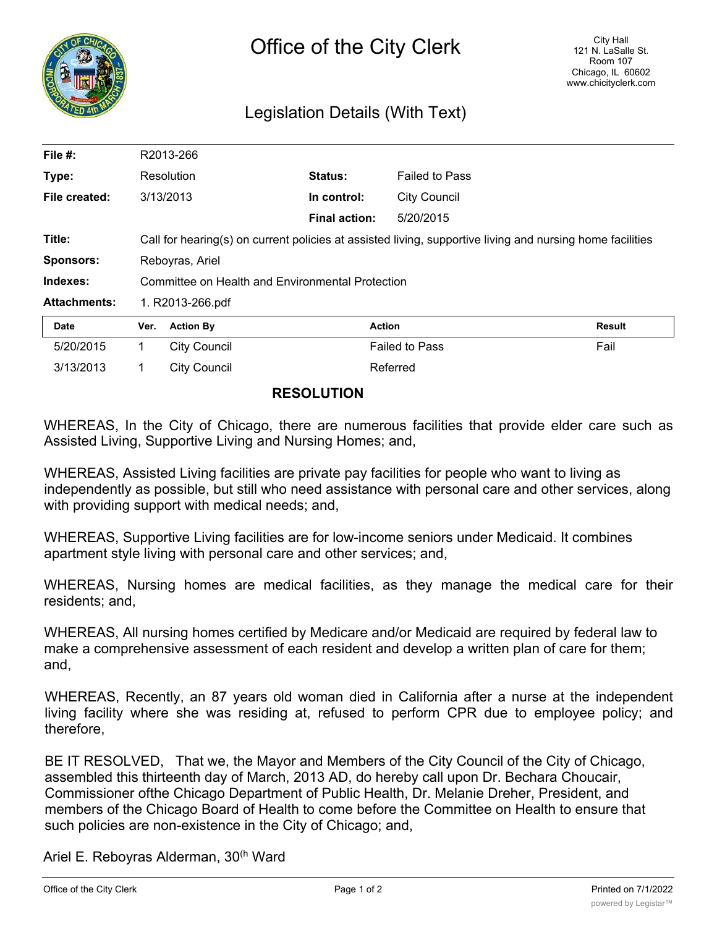

## Legislation Details (With Text)

| File $#$ :          |                                                                                                           | R2013-266        |                      |                       |               |
|---------------------|-----------------------------------------------------------------------------------------------------------|------------------|----------------------|-----------------------|---------------|
| Type:               | Resolution                                                                                                |                  | Status:              | <b>Failed to Pass</b> |               |
| File created:       | 3/13/2013                                                                                                 |                  | In control:          | City Council          |               |
|                     |                                                                                                           |                  | <b>Final action:</b> | 5/20/2015             |               |
| Title:              | Call for hearing(s) on current policies at assisted living, supportive living and nursing home facilities |                  |                      |                       |               |
| <b>Sponsors:</b>    | Reboyras, Ariel                                                                                           |                  |                      |                       |               |
| Indexes:            | Committee on Health and Environmental Protection                                                          |                  |                      |                       |               |
| <b>Attachments:</b> | 1. R2013-266.pdf                                                                                          |                  |                      |                       |               |
| <b>Date</b>         | Ver.                                                                                                      | <b>Action By</b> | <b>Action</b>        |                       | <b>Result</b> |
| 5/20/2015           |                                                                                                           | City Council     |                      | <b>Failed to Pass</b> | Fail          |

## **RESOLUTION**

3/13/2013 1 City Council 2014 1999 Referred

WHEREAS, In the City of Chicago, there are numerous facilities that provide elder care such as Assisted Living, Supportive Living and Nursing Homes; and,

WHEREAS, Assisted Living facilities are private pay facilities for people who want to living as independently as possible, but still who need assistance with personal care and other services, along with providing support with medical needs; and,

WHEREAS, Supportive Living facilities are for low-income seniors under Medicaid. It combines apartment style living with personal care and other services; and,

WHEREAS, Nursing homes are medical facilities, as they manage the medical care for their residents; and,

WHEREAS, All nursing homes certified by Medicare and/or Medicaid are required by federal law to make a comprehensive assessment of each resident and develop a written plan of care for them; and,

WHEREAS, Recently, an 87 years old woman died in California after a nurse at the independent living facility where she was residing at, refused to perform CPR due to employee policy; and therefore,

BE IT RESOLVED, That we, the Mayor and Members of the City Council of the City of Chicago, assembled this thirteenth day of March, 2013 AD, do hereby call upon Dr. Bechara Choucair, Commissioner ofthe Chicago Department of Public Health, Dr. Melanie Dreher, President, and members of the Chicago Board of Health to come before the Committee on Health to ensure that such policies are non-existence in the City of Chicago; and,

Ariel E. Reboyras Alderman, 30<sup>(h</sup> Ward